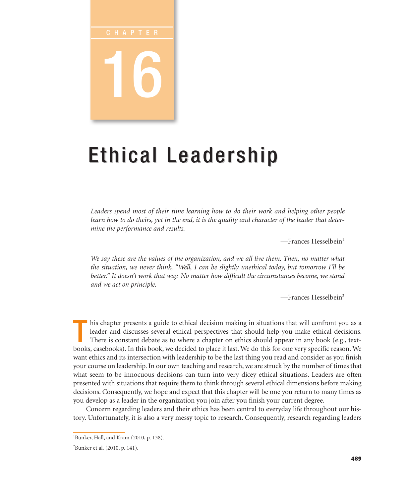# 16

# **Ethical Leadership**

Leaders spend most of their time learning how to do their work and helping other people *learn how to do theirs, yet in the end, it is the quality and character of the leader that determine the performance and results.*

 $-$ Frances Hesselbein $<sup>1</sup>$ </sup>

We say these are the values of the organization, and we all live them. Then, no matter what *the situation, we never think, "Well, I can be slightly unethical today, but tomorrow I'll be better." It doesn't work that way. No matter how difficult the circumstances become, we stand and we act on principle.*

—Frances Hesselbein2

T his chapter presents a guide to ethical decision making in situations that will confront you as a leader and discusses several ethical perspectives that should help you make ethical decisions. There is constant debate as to where a chapter on ethics should appear in any book (e.g., textbooks, casebooks). In this book, we decided to place it last. We do this for one very specific reason. We want ethics and its intersection with leadership to be the last thing you read and consider as you finish your course on leadership. In our own teaching and research, we are struck by the number of times that what seem to be innocuous decisions can turn into very dicey ethical situations. Leaders are often presented with situations that require them to think through several ethical dimensions before making decisions. Consequently, we hope and expect that this chapter will be one you return to many times as you develop as a leader in the organization you join after you finish your current degree.

Concern regarding leaders and their ethics has been central to everyday life throughout our history. Unfortunately, it is also a very messy topic to research. Consequently, research regarding leaders

<sup>1</sup> Bunker, Hall, and Kram (2010, p. 138).

<sup>2</sup> Bunker et al. (2010, p. 141).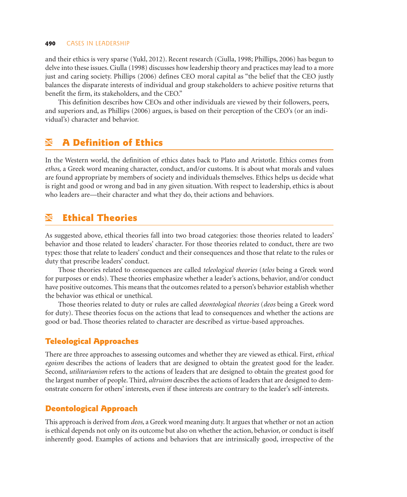#### 490 CASES IN LEADERSHIP

and their ethics is very sparse (Yukl, 2012). Recent research (Ciulla, 1998; Phillips, 2006) has begun to delve into these issues. Ciulla (1998) discusses how leadership theory and practices may lead to a more just and caring society. Phillips (2006) defines CEO moral capital as "the belief that the CEO justly balances the disparate interests of individual and group stakeholders to achieve positive returns that benefit the firm, its stakeholders, and the CEO."

This definition describes how CEOs and other individuals are viewed by their followers, peers, and superiors and, as Phillips (2006) argues, is based on their perception of the CEO's (or an individual's) character and behavior.

# $\mathbb{R}$ <sup>y</sup> A Definition of Ethics

In the Western world, the definition of ethics dates back to Plato and Aristotle. Ethics comes from *ethos,* a Greek word meaning character, conduct, and/or customs. It is about what morals and values are found appropriate by members of society and individuals themselves. Ethics helps us decide what is right and good or wrong and bad in any given situation. With respect to leadership, ethics is about who leaders are—their character and what they do, their actions and behaviors.

# $\mathbb{X}$  Ethical Theories

As suggested above, ethical theories fall into two broad categories: those theories related to leaders' behavior and those related to leaders' character. For those theories related to conduct, there are two types: those that relate to leaders' conduct and their consequences and those that relate to the rules or duty that prescribe leaders' conduct.

Those theories related to consequences are called *teleological theories* (*telos* being a Greek word for purposes or ends). These theories emphasize whether a leader's actions, behavior, and/or conduct have positive outcomes. This means that the outcomes related to a person's behavior establish whether the behavior was ethical or unethical.

Those theories related to duty or rules are called *deontological theories* (*deos* being a Greek word for duty). These theories focus on the actions that lead to consequences and whether the actions are good or bad. Those theories related to character are described as virtue-based approaches.

#### Teleological Approaches

There are three approaches to assessing outcomes and whether they are viewed as ethical. First, *ethical egoism* describes the actions of leaders that are designed to obtain the greatest good for the leader. Second, *utilitarianism* refers to the actions of leaders that are designed to obtain the greatest good for the largest number of people. Third, *altruism* describes the actions of leaders that are designed to demonstrate concern for others' interests, even if these interests are contrary to the leader's self-interests.

#### Deontological Approach

This approach is derived from *deos,* a Greek word meaning duty. It argues that whether or not an action is ethical depends not only on its outcome but also on whether the action, behavior, or conduct is itself inherently good. Examples of actions and behaviors that are intrinsically good, irrespective of the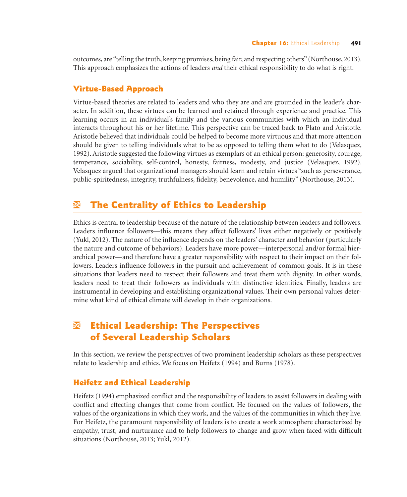outcomes, are "telling the truth, keeping promises, being fair, and respecting others" (Northouse, 2013). This approach emphasizes the actions of leaders *and* their ethical responsibility to do what is right.

#### Virtue-Based Approach

Virtue-based theories are related to leaders and who they are and are grounded in the leader's character. In addition, these virtues can be learned and retained through experience and practice. This learning occurs in an individual's family and the various communities with which an individual interacts throughout his or her lifetime. This perspective can be traced back to Plato and Aristotle. Aristotle believed that individuals could be helped to become more virtuous and that more attention should be given to telling individuals what to be as opposed to telling them what to do (Velasquez, 1992). Aristotle suggested the following virtues as exemplars of an ethical person: generosity, courage, temperance, sociability, self-control, honesty, fairness, modesty, and justice (Velasquez, 1992). Velasquez argued that organizational managers should learn and retain virtues "such as perseverance, public-spiritedness, integrity, truthfulness, fidelity, benevolence, and humility" (Northouse, 2013).

# $\mathbb{F}_y$  The Centrality of Ethics to Leadership

Ethics is central to leadership because of the nature of the relationship between leaders and followers. Leaders influence followers—this means they affect followers' lives either negatively or positively (Yukl, 2012). The nature of the influence depends on the leaders' character and behavior (particularly the nature and outcome of behaviors). Leaders have more power—interpersonal and/or formal hierarchical power—and therefore have a greater responsibility with respect to their impact on their followers. Leaders influence followers in the pursuit and achievement of common goals. It is in these situations that leaders need to respect their followers and treat them with dignity. In other words, leaders need to treat their followers as individuals with distinctive identities. Finally, leaders are instrumental in developing and establishing organizational values. Their own personal values determine what kind of ethical climate will develop in their organizations.

# $\mathbb{F}_y$  Ethical Leadership: The Perspectives of Several Leadership Scholars

In this section, we review the perspectives of two prominent leadership scholars as these perspectives relate to leadership and ethics. We focus on Heifetz (1994) and Burns (1978).

#### Heifetz and Ethical Leadership

Heifetz (1994) emphasized conflict and the responsibility of leaders to assist followers in dealing with conflict and effecting changes that come from conflict. He focused on the values of followers, the values of the organizations in which they work, and the values of the communities in which they live. For Heifetz, the paramount responsibility of leaders is to create a work atmosphere characterized by empathy, trust, and nurturance and to help followers to change and grow when faced with difficult situations (Northouse, 2013; Yukl, 2012).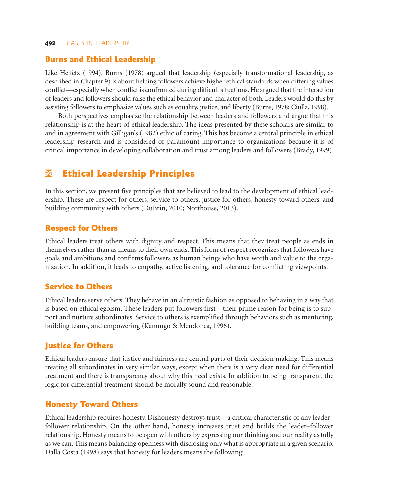#### Burns and Ethical Leadership

Like Heifetz (1994), Burns (1978) argued that leadership (especially transformational leadership, as described in Chapter 9) is about helping followers achieve higher ethical standards when differing values conflict—especially when conflict is confronted during difficult situations. He argued that the interaction of leaders and followers should raise the ethical behavior and character of both. Leaders would do this by assisting followers to emphasize values such as equality, justice, and liberty (Burns, 1978; Ciulla, 1998).

Both perspectives emphasize the relationship between leaders and followers and argue that this relationship is at the heart of ethical leadership. The ideas presented by these scholars are similar to and in agreement with Gilligan's (1982) ethic of caring. This has become a central principle in ethical leadership research and is considered of paramount importance to organizations because it is of critical importance in developing collaboration and trust among leaders and followers (Brady, 1999).

# **Ethical Leadership Principles**

In this section, we present five principles that are believed to lead to the development of ethical leadership. These are respect for others, service to others, justice for others, honesty toward others, and building community with others (DuBrin, 2010; Northouse, 2013).

#### Respect for Others

Ethical leaders treat others with dignity and respect. This means that they treat people as ends in themselves rather than as means to their own ends. This form of respect recognizes that followers have goals and ambitions and confirms followers as human beings who have worth and value to the organization. In addition, it leads to empathy, active listening, and tolerance for conflicting viewpoints.

#### Service to Others

Ethical leaders serve others. They behave in an altruistic fashion as opposed to behaving in a way that is based on ethical egoism. These leaders put followers first—their prime reason for being is to support and nurture subordinates. Service to others is exemplified through behaviors such as mentoring, building teams, and empowering (Kanungo & Mendonca, 1996).

#### Justice for Others

Ethical leaders ensure that justice and fairness are central parts of their decision making. This means treating all subordinates in very similar ways, except when there is a very clear need for differential treatment and there is transparency about why this need exists. In addition to being transparent, the logic for differential treatment should be morally sound and reasonable.

#### Honesty Toward Others

Ethical leadership requires honesty. Dishonesty destroys trust—a critical characteristic of any leader– follower relationship. On the other hand, honesty increases trust and builds the leader–follower relationship. Honesty means to be open with others by expressing our thinking and our reality as fully as we can. This means balancing openness with disclosing only what is appropriate in a given scenario. Dalla Costa (1998) says that honesty for leaders means the following: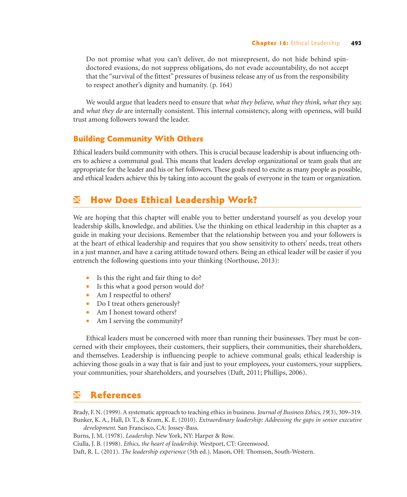Do not promise what you can't deliver, do not misrepresent, do not hide behind spindoctored evasions, do not suppress obligations, do not evade accountability, do not accept that the "survival of the fittest" pressures of business release any of us from the responsibility to respect another's dignity and humanity. (p. 164)

We would argue that leaders need to ensure that *what they believe, what they think, what they say,*  and *what they do* are internally consistent. This internal consistency, along with openness, will build trust among followers toward the leader.

#### Building Community With Others

Ethical leaders build community with others. This is crucial because leadership is about influencing others to achieve a communal goal. This means that leaders develop organizational or team goals that are appropriate for the leader and his or her followers. These goals need to excite as many people as possible, and ethical leaders achieve this by taking into account the goals of everyone in the team or organization.

# How Does Ethical Leadership Work?

We are hoping that this chapter will enable you to better understand yourself as you develop your leadership skills, knowledge, and abilities. Use the thinking on ethical leadership in this chapter as a guide in making your decisions. Remember that the relationship between you and your followers is at the heart of ethical leadership and requires that you show sensitivity to others' needs, treat others in a just manner, and have a caring attitude toward others. Being an ethical leader will be easier if you entrench the following questions into your thinking (Northouse, 2013):

- Is this the right and fair thing to do?
- Is this what a good person would do?
- Am I respectful to others?
- Do I treat others generously?
- Am I honest toward others?
- Am I serving the community?

Ethical leaders must be concerned with more than running their businesses. They must be concerned with their employees, their customers, their suppliers, their communities, their shareholders, and themselves. Leadership is influencing people to achieve communal goals; ethical leadership is achieving those goals in a way that is fair and just to your employees, your customers, your suppliers, your communities, your shareholders, and yourselves (Daft, 2011; Phillips, 2006).

# **References**

Brady, F. N. (1999). A systematic approach to teaching ethics in business. *Journal of Business Ethics*, *19*(3), 309–319. Bunker, K. A., Hall, D. T., & Kram, K. E. (2010). *Extraordinary leadership: Addressing the gaps in senior executive development.* San Francisco, CA: Jossey-Bass.

Burns, J. M. (1978). *Leadership.* New York, NY: Harper & Row.

Ciulla, J. B. (1998). *Ethics, the heart of leadership.* Westport, CT: Greenwood.

Daft, R. L. (2011). *The leadership experience* (5th ed.). Mason, OH: Thomson, South-Western.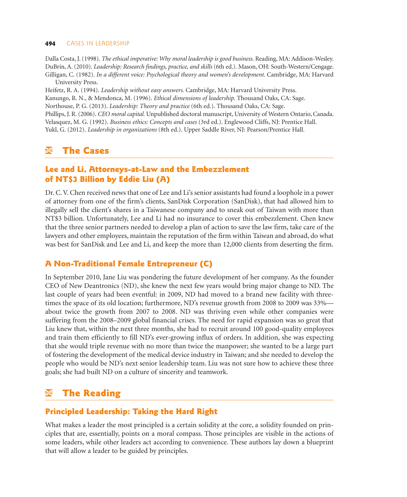#### 494 CASES IN LEADERSHIP

Dalla Costa, J. (1998). *The ethical imperative: Why moral leadership is good business.* Reading, MA: Addison-Wesley. DuBrin, A. (2010). *Leadership: Research findings, practice, and skills* (6th ed.)*.* Mason, OH: South-Western/Cengage. Gilligan, C. (1982). *In a different voice: Psychological theory and women's development.* Cambridge, MA: Harvard University Press.

Heifetz, R. A. (1994). *Leadership without easy answers.* Cambridge, MA: Harvard University Press. Kanungo, R. N., & Mendonca, M. (1996). *Ethical dimensions of leadership.* Thousand Oaks, CA: Sage. Northouse, P. G. (2013). *Leadership: Theory and practice* (6th ed.). Thousand Oaks, CA: Sage. Phillips, J. R. (2006). *CEO moral capital.* Unpublished doctoral manuscript, University of Western Ontario, Canada. Velasquez, M. G. (1992). *Business ethics: Concepts and cases* (3rd ed.). Englewood Cliffs, NJ: Prentice Hall. Yukl, G. (2012). *Leadership in organizations* (8th ed.). Upper Saddle River, NJ: Pearson/Prentice Hall.

# **The Cases**

# Lee and Li, Attorneys-at-Law and the Embezzlement of NT\$3 Billion by Eddie Liu (A)

Dr. C. V. Chen received news that one of Lee and Li's senior assistants had found a loophole in a power of attorney from one of the firm's clients, SanDisk Corporation (SanDisk), that had allowed him to illegally sell the client's shares in a Taiwanese company and to sneak out of Taiwan with more than NT\$3 billion. Unfortunately, Lee and Li had no insurance to cover this embezzlement. Chen knew that the three senior partners needed to develop a plan of action to save the law firm, take care of the lawyers and other employees, maintain the reputation of the firm within Taiwan and abroad, do what was best for SanDisk and Lee and Li, and keep the more than 12,000 clients from deserting the firm.

#### A Non-Traditional Female Entrepreneur (C)

In September 2010, Jane Liu was pondering the future development of her company. As the founder CEO of New Deantronics (ND), she knew the next few years would bring major change to ND. The last couple of years had been eventful: in 2009, ND had moved to a brand new facility with threetimes the space of its old location; furthermore, ND's revenue growth from 2008 to 2009 was 33% about twice the growth from 2007 to 2008. ND was thriving even while other companies were suffering from the 2008–2009 global financial crises. The need for rapid expansion was so great that Liu knew that, within the next three months, she had to recruit around 100 good-quality employees and train them efficiently to fill ND's ever-growing influx of orders. In addition, she was expecting that she would triple revenue with no more than twice the manpower; she wanted to be a large part of fostering the development of the medical device industry in Taiwan; and she needed to develop the people who would be ND's next senior leadership team. Liu was not sure how to achieve these three goals; she had built ND on a culture of sincerity and teamwork.

# $\mathbb{N}$  The Reading

#### Principled Leadership: Taking the Hard Right

What makes a leader the most principled is a certain solidity at the core, a solidity founded on principles that are, essentially, points on a moral compass. Those principles are visible in the actions of some leaders, while other leaders act according to convenience. These authors lay down a blueprint that will allow a leader to be guided by principles.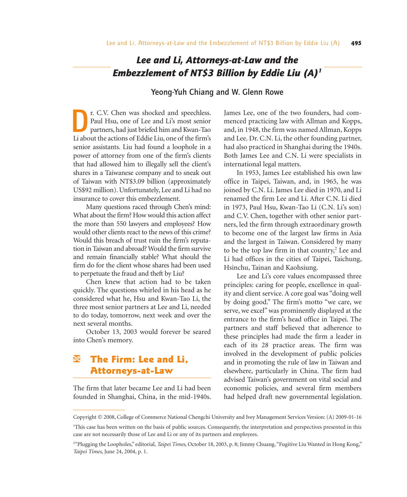# *Lee and Li, Attorneys-at-Law and the Embezzlement of NT\$3 Billion by Eddie Liu (A)1*

#### Yeong-Yuh Chiang and W. Glenn Rowe

**DEREV.** Chen was shocked and speechless.<br>Paul Hsu, one of Lee and Li's most senior partners, had just briefed him and Kwan-Tao Paul Hsu, one of Lee and Li's most senior partners, had just briefed him and Kwan-Tao Li about the actions of Eddie Liu, one of the firm's senior assistants. Liu had found a loophole in a power of attorney from one of the firm's clients that had allowed him to illegally sell the client's shares in a Taiwanese company and to sneak out of Taiwan with NT\$3.09 billion (approximately US\$92 million). Unfortunately, Lee and Li had no insurance to cover this embezzlement.

Many questions raced through Chen's mind: What about the firm? How would this action affect the more than 550 lawyers and employees? How would other clients react to the news of this crime? Would this breach of trust ruin the firm's reputation in Taiwan and abroad? Would the firm survive and remain financially stable? What should the firm do for the client whose shares had been used to perpetuate the fraud and theft by Liu?

Chen knew that action had to be taken quickly. The questions whirled in his head as he considered what he, Hsu and Kwan-Tao Li, the three most senior partners at Lee and Li, needed to do today, tomorrow, next week and over the next several months.

October 13, 2003 would forever be seared into Chen's memory.

# $\mathbb{N}$  The Firm: Lee and Li, Attorneys-at-Law

The firm that later became Lee and Li had been founded in Shanghai, China, in the mid-1940s. James Lee, one of the two founders, had commenced practicing law with Allman and Kopps, and, in 1948, the firm was named Allman, Kopps and Lee. Dr. C.N. Li, the other founding partner, had also practiced in Shanghai during the 1940s. Both James Lee and C.N. Li were specialists in international legal matters.

In 1953, James Lee established his own law office in Taipei, Taiwan, and, in 1965, he was joined by C.N. Li. James Lee died in 1970, and Li renamed the firm Lee and Li. After C.N. Li died in 1973, Paul Hsu, Kwan-Tao Li (C.N. Li's son) and C.V. Chen, together with other senior partners, led the firm through extraordinary growth to become one of the largest law firms in Asia and the largest in Taiwan. Considered by many to be the top law firm in that country, $2$  Lee and Li had offices in the cities of Taipei, Taichung, Hsinchu, Tainan and Kaohsiung.

Lee and Li's core values encompassed three principles: caring for people, excellence in quality and client service. A core goal was "doing well by doing good." The firm's motto "we care, we serve, we excel" was prominently displayed at the entrance to the firm's head office in Taipei. The partners and staff believed that adherence to these principles had made the firm a leader in each of its 28 practice areas. The firm was involved in the development of public policies and in promoting the rule of law in Taiwan and elsewhere, particularly in China. The firm had advised Taiwan's government on vital social and economic policies, and several firm members had helped draft new governmental legislation.

Copyright  $@$  2008, College of Commerce National Chengchi University and Ivey Management Services Version: (A) 2009-01-16

<sup>1</sup> This case has been written on the basis of public sources. Consequently, the interpretation and perspectives presented in this case are not necessarily those of Lee and Li or any of its partners and employees.

<sup>2</sup> "Plugging the Loopholes," editorial, *Taipei Times*, October 18, 2003, p. 8; Jimmy Chuang, "Fugitive Liu Wanted in Hong Kong," *Taipei Times*, June 24, 2004, p. 1.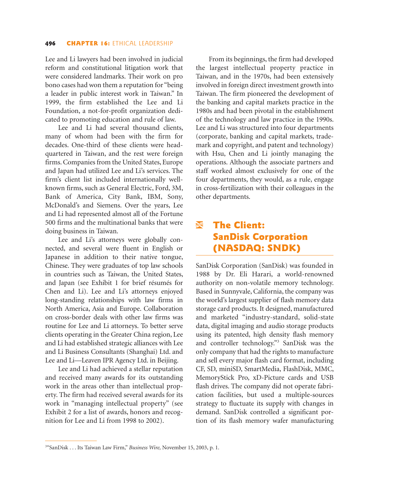Lee and Li lawyers had been involved in judicial reform and constitutional litigation work that were considered landmarks. Their work on pro bono cases had won them a reputation for "being a leader in public interest work in Taiwan." In 1999, the firm established the Lee and Li Foundation, a not-for-profit organization dedicated to promoting education and rule of law.

Lee and Li had several thousand clients, many of whom had been with the firm for decades. One-third of these clients were headquartered in Taiwan, and the rest were foreign firms. Companies from the United States, Europe and Japan had utilized Lee and Li's services. The firm's client list included internationally wellknown firms, such as General Electric, Ford, 3M, Bank of America, City Bank, IBM, Sony, McDonald's and Siemens. Over the years, Lee and Li had represented almost all of the Fortune 500 firms and the multinational banks that were doing business in Taiwan.

Lee and Li's attorneys were globally connected, and several were fluent in English or Japanese in addition to their native tongue, Chinese. They were graduates of top law schools in countries such as Taiwan, the United States, and Japan (see Exhibit 1 for brief résumés for Chen and Li). Lee and Li's attorneys enjoyed long-standing relationships with law firms in North America, Asia and Europe. Collaboration on cross-border deals with other law firms was routine for Lee and Li attorneys. To better serve clients operating in the Greater China region, Lee and Li had established strategic alliances with Lee and Li Business Consultants (Shanghai) Ltd. and Lee and Li—Leaven IPR Agency Ltd. in Beijing.

Lee and Li had achieved a stellar reputation and received many awards for its outstanding work in the areas other than intellectual property. The firm had received several awards for its work in "managing intellectual property" (see Exhibit 2 for a list of awards, honors and recognition for Lee and Li from 1998 to 2002).

From its beginnings, the firm had developed the largest intellectual property practice in Taiwan, and in the 1970s, had been extensively involved in foreign direct investment growth into Taiwan. The firm pioneered the development of the banking and capital markets practice in the 1980s and had been pivotal in the establishment of the technology and law practice in the 1990s. Lee and Li was structured into four departments (corporate, banking and capital markets, trademark and copyright, and patent and technology) with Hsu, Chen and Li jointly managing the operations. Although the associate partners and staff worked almost exclusively for one of the four departments, they would, as a rule, engage in cross-fertilization with their colleagues in the other departments.

# $\mathbb{N}$  The Client: SanDisk Corporation (NASDAQ: SNDK)

SanDisk Corporation (SanDisk) was founded in 1988 by Dr. Eli Harari, a world-renowned authority on non-volatile memory technology. Based in Sunnyvale, California, the company was the world's largest supplier of flash memory data storage card products. It designed, manufactured and marketed "industry-standard, solid-state data, digital imaging and audio storage products using its patented, high density flash memory and controller technology."3 SanDisk was the only company that had the rights to manufacture and sell every major flash card format, including CF, SD, miniSD, SmartMedia, FlashDisk, MMC, MemoryStick Pro, xD-Picture cards and USB flash drives. The company did not operate fabrication facilities, but used a multiple-sources strategy to fluctuate its supply with changes in demand. SanDisk controlled a significant portion of its flash memory wafer manufacturing

<sup>3</sup> "SanDisk . . . Its Taiwan Law Firm," *Business Wire,* November 15, 2003, p. 1.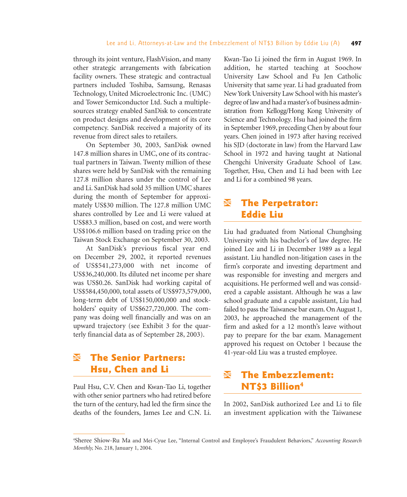through its joint venture, FlashVision, and many other strategic arrangements with fabrication facility owners. These strategic and contractual partners included Toshiba, Samsung, Renasas Technology, United Microelectronic Inc. (UMC) and Tower Semiconductor Ltd. Such a multiplesources strategy enabled SanDisk to concentrate on product designs and development of its core competency. SanDisk received a majority of its revenue from direct sales to retailers.

On September 30, 2003, SanDisk owned 147.8 million shares in UMC, one of its contractual partners in Taiwan. Twenty million of these shares were held by SanDisk with the remaining 127.8 million shares under the control of Lee and Li. SanDisk had sold 35 million UMC shares during the month of September for approximately US\$30 million. The 127.8 million UMC shares controlled by Lee and Li were valued at US\$83.3 million, based on cost, and were worth US\$106.6 million based on trading price on the Taiwan Stock Exchange on September 30, 2003.

At SanDisk's previous fiscal year end on December 29, 2002, it reported revenues of US\$541,273,000 with net income of US\$36,240,000. Its diluted net income per share was US\$0.26. SanDisk had working capital of US\$584,450,000, total assets of US\$973,579,000, long-term debt of US\$150,000,000 and stockholders' equity of US\$627,720,000. The company was doing well financially and was on an upward trajectory (see Exhibit 3 for the quarterly financial data as of September 28, 2003).

# $\mathbb{N}^{\vee}$  The Senior Partners: Hsu, Chen and Li

Paul Hsu, C.V. Chen and Kwan-Tao Li, together with other senior partners who had retired before the turn of the century, had led the firm since the deaths of the founders, James Lee and C.N. Li. Kwan-Tao Li joined the firm in August 1969. In addition, he started teaching at Soochow University Law School and Fu Jen Catholic University that same year. Li had graduated from New York University Law School with his master's degree of law and had a master's of business administration from Kellogg/Hong Kong University of Science and Technology. Hsu had joined the firm in September 1969, preceding Chen by about four years. Chen joined in 1973 after having received his SJD (doctorate in law) from the Harvard Law School in 1972 and having taught at National Chengchi University Graduate School of Law. Together, Hsu, Chen and Li had been with Lee and Li for a combined 98 years.

# **W** The Perpetrator: Eddie Liu

Liu had graduated from National Chunghsing University with his bachelor's of law degree. He joined Lee and Li in December 1989 as a legal assistant. Liu handled non-litigation cases in the firm's corporate and investing department and was responsible for investing and mergers and acquisitions. He performed well and was considered a capable assistant. Although he was a law school graduate and a capable assistant, Liu had failed to pass the Taiwanese bar exam. On August 1, 2003, he approached the management of the firm and asked for a 12 month's leave without pay to prepare for the bar exam. Management approved his request on October 1 because the 41-year-old Liu was a trusted employee.

# $\mathbb{R}$  The Embezzlement: NT\$3 Billion4

In 2002, SanDisk authorized Lee and Li to file an investment application with the Taiwanese

<sup>4</sup> Sheree Shiow-Ru Ma and Mei-Cyue Lee, "Internal Control and Employee's Fraudulent Behaviors," *Accounting Research Monthly,* No. 218, January 1, 2004.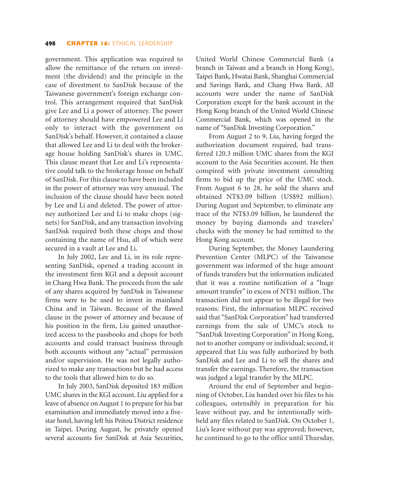government. This application was required to allow the remittance of the return on investment (the dividend) and the principle in the case of divestment to SanDisk because of the Taiwanese government's foreign exchange control. This arrangement required that SanDisk give Lee and Li a power of attorney. The power of attorney should have empowered Lee and Li only to interact with the government on SanDisk's behalf. However, it contained a clause that allowed Lee and Li to deal with the brokerage house holding SanDisk's shares in UMC. This clause meant that Lee and Li's representative could talk to the brokerage house on behalf of SanDisk. For this clause to have been included in the power of attorney was very unusual. The inclusion of the clause should have been noted by Lee and Li and deleted. The power of attorney authorized Lee and Li to make chops (signets) for SanDisk, and any transaction involving SanDisk required both these chops and those containing the name of Hsu, all of which were secured in a vault at Lee and Li.

In July 2002, Lee and Li, in its role representing SanDisk, opened a trading account in the investment firm KGI and a deposit account in Chang Hwa Bank. The proceeds from the sale of any shares acquired by SanDisk in Taiwanese firms were to be used to invest in mainland China and in Taiwan. Because of the flawed clause in the power of attorney and because of his position in the firm, Liu gained unauthorized access to the passbooks and chops for both accounts and could transact business through both accounts without any "actual" permission and/or supervision. He was not legally authorized to make any transactions but he had access to the tools that allowed him to do so.

In July 2003, SanDisk deposited 183 million UMC shares in the KGI account. Liu applied for a leave of absence on August 1 to prepare for his bar examination and immediately moved into a fivestar hotel, having left his Peitou District residence in Taipei. During August, he privately opened several accounts for SanDisk at Asia Securities, United World Chinese Commercial Bank (a branch in Taiwan and a branch in Hong Kong), Taipei Bank, Hwatai Bank, Shanghai Commercial and Savings Bank, and Chang Hwa Bank. All accounts were under the name of SanDisk Corporation except for the bank account in the Hong Kong branch of the United World Chinese Commercial Bank, which was opened in the name of "SanDisk Investing Corporation."

From August 2 to 9, Liu, having forged the authorization document required, had transferred 120.3 million UMC shares from the KGI account to the Asia Securities account. He then conspired with private investment consulting firms to bid up the price of the UMC stock. From August 6 to 28, he sold the shares and obtained NT\$3.09 billion (US\$92 million). During August and September, to eliminate any trace of the NT\$3.09 billion, he laundered the money by buying diamonds and travelers' checks with the money he had remitted to the Hong Kong account.

During September, the Money Laundering Prevention Center (MLPC) of the Taiwanese government was informed of the huge amount of funds transfers but the information indicated that it was a routine notification of a "huge amount transfer" in excess of NT\$1 million. The transaction did not appear to be illegal for two reasons: First, the information MLPC received said that "SanDisk Corporation" had transferred earnings from the sale of UMC's stock to "SanDisk Investing Corporation" in Hong Kong, not to another company or individual; second, it appeared that Liu was fully authorized by both SanDisk and Lee and Li to sell the shares and transfer the earnings. Therefore, the transaction was judged a legal transfer by the MLPC.

Around the end of September and beginning of October, Liu handed over his files to his colleagues, ostensibly in preparation for his leave without pay, and he intentionally withheld any files related to SanDisk. On October 1, Liu's leave without pay was approved; however, he continued to go to the office until Thursday,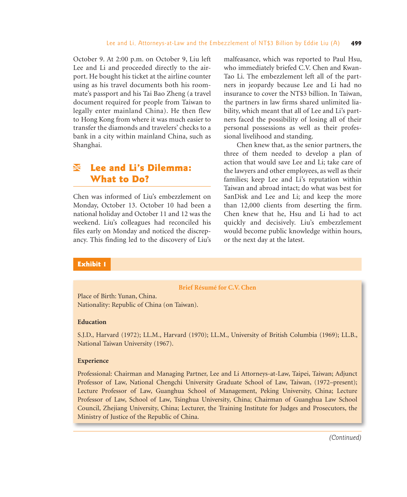October 9. At 2:00 p.m. on October 9, Liu left Lee and Li and proceeded directly to the airport. He bought his ticket at the airline counter using as his travel documents both his roommate's passport and his Tai Bao Zheng (a travel document required for people from Taiwan to legally enter mainland China). He then flew to Hong Kong from where it was much easier to transfer the diamonds and travelers' checks to a bank in a city within mainland China, such as Shanghai.

# $\mathbb{N}$  Lee and Li's Dilemma: What to Do?

Chen was informed of Liu's embezzlement on Monday, October 13. October 10 had been a national holiday and October 11 and 12 was the weekend. Liu's colleagues had reconciled his files early on Monday and noticed the discrepancy. This finding led to the discovery of Liu's malfeasance, which was reported to Paul Hsu, who immediately briefed C.V. Chen and Kwan-Tao Li. The embezzlement left all of the partners in jeopardy because Lee and Li had no insurance to cover the NT\$3 billion. In Taiwan, the partners in law firms shared unlimited liability, which meant that all of Lee and Li's partners faced the possibility of losing all of their personal possessions as well as their professional livelihood and standing.

Chen knew that, as the senior partners, the three of them needed to develop a plan of action that would save Lee and Li; take care of the lawyers and other employees, as well as their families; keep Lee and Li's reputation within Taiwan and abroad intact; do what was best for SanDisk and Lee and Li; and keep the more than 12,000 clients from deserting the firm. Chen knew that he, Hsu and Li had to act quickly and decisively. Liu's embezzlement would become public knowledge within hours, or the next day at the latest.

#### Exhibit 1

#### **Brief Résumé for C.V. Chen**

Place of Birth: Yunan, China. Nationality: Republic of China (on Taiwan).

#### **Education**

S.J.D., Harvard (1972); LL.M., Harvard (1970); LL.M., University of British Columbia (1969); LL.B., National Taiwan University (1967).

#### **Experience**

Professional: Chairman and Managing Partner, Lee and Li Attorneys-at-Law, Taipei, Taiwan; Adjunct Professor of Law, National Chengchi University Graduate School of Law, Taiwan, (1972–present); Lecture Professor of Law, Guanghua School of Management, Peking University, China; Lecture Professor of Law, School of Law, Tsinghua University, China; Chairman of Guanghua Law School Council, Zhejiang University, China; Lecturer, the Training Institute for Judges and Prosecutors, the Ministry of Justice of the Republic of China.

*(Continued)*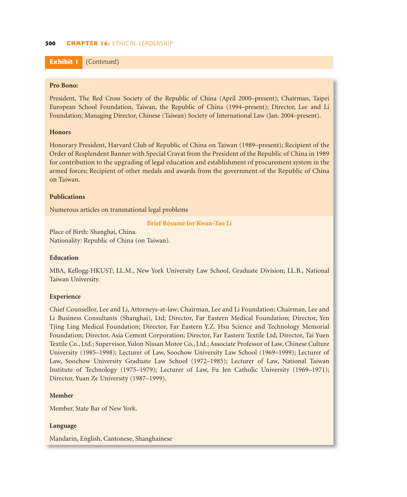Exhibit I (Continued)

#### **Pro Bono:**

President, The Red Cross Society of the Republic of China (April 2000–present); Chairman, Taipei European School Foundation, Taiwan, the Republic of China (1994–present); Director, Lee and Li Foundation; Managing Director, Chinese (Taiwan) Society of International Law (Jan. 2004–present).

#### **Honors**

Honorary President, Harvard Club of Republic of China on Taiwan (1989–present); Recipient of the Order of Resplendent Banner with Special Cravat from the President of the Republic of China in 1989 for contribution to the upgrading of legal education and establishment of procurement system in the armed forces; Recipient of other medals and awards from the government of the Republic of China on Taiwan.

#### **Publications**

Numerous articles on transnational legal problems

**Brief Résumé for Kwan-Tao Li**

Place of Birth: Shanghai, China. Nationality: Republic of China (on Taiwan).

#### **Education**

MBA, Kellogg-HKUST; LL.M., New York University Law School, Graduate Division; LL.B., National Taiwan University.

#### **Experience**

Chief Counsellor, Lee and Li, Attorneys-at-law; Chairman, Lee and Li Foundation; Chairman, Lee and Li Business Consultants (Shanghai), Ltd; Director, Far Eastern Medical Foundation; Director, Yen Tjing Ling Medical Foundation; Director, Far Eastern Y.Z. Hsu Science and Technology Memorial Foundation; Director, Asia Cement Corporation; Director, Far Eastern Textile Ltd; Director, Tai Yuen Textile Co., Ltd.; Supervisor, Yulon Nissan Motor Co., Ltd.; Associate Professor of Law, Chinese Culture University (1985–1998); Lecturer of Law, Soochow University Law School (1969–1999); Lecturer of Law, Soochow University Graduate Law School (1972–1985); Lecturer of Law, National Taiwan Institute of Technology (1975–1979); Lecturer of Law, Fu Jen Catholic University (1969–1971); Director, Yuan Ze University (1987–1999).

#### **Member**

Member, State Bar of New York.

#### **Language**

Mandarin, English, Cantonese, Shanghainese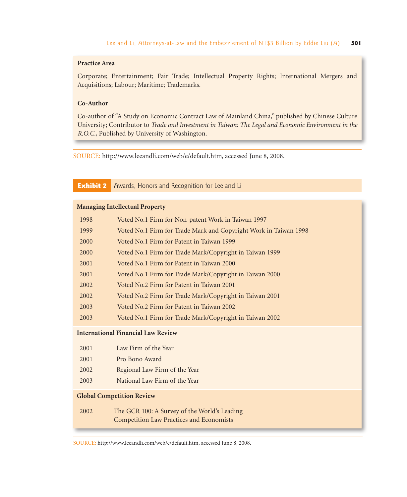#### **Practice Area**

Corporate; Entertainment; Fair Trade; Intellectual Property Rights; International Mergers and Acquisitions; Labour; Maritime; Trademarks.

#### **Co-Author**

Co-author of "A Study on Economic Contract Law of Mainland China," published by Chinese Culture University; Contributor to *Trade and Investment in Taiwan: The Legal and Economic Environment in the R.O.C.*, Published by University of Washington.

SOURCE: http://www.leeandli.com/web/e/default.htm, accessed June 8, 2008.

**Exhibit 2** Awards, Honors and Recognition for Lee and Li

#### **Managing Intellectual Property**

| 1998 | Voted No.1 Firm for Non-patent Work in Taiwan 1997               |
|------|------------------------------------------------------------------|
| 1999 | Voted No.1 Firm for Trade Mark and Copyright Work in Taiwan 1998 |
| 2000 | Voted No.1 Firm for Patent in Taiwan 1999                        |
| 2000 | Voted No.1 Firm for Trade Mark/Copyright in Taiwan 1999          |
| 2001 | Voted No.1 Firm for Patent in Taiwan 2000                        |
| 2001 | Voted No.1 Firm for Trade Mark/Copyright in Taiwan 2000          |
| 2002 | Voted No.2 Firm for Patent in Taiwan 2001                        |
| 2002 | Voted No.2 Firm for Trade Mark/Copyright in Taiwan 2001          |
| 2003 | Voted No.2 Firm for Patent in Taiwan 2002                        |
| 2003 | Voted No.1 Firm for Trade Mark/Copyright in Taiwan 2002          |
|      |                                                                  |

#### **International Financial Law Review**

 Law Firm of the Year Pro Bono Award Regional Law Firm of the Year National Law Firm of the Year

#### **Global Competition Review**

2002 The GCR 100: A Survey of the World's Leading Competition Law Practices and Economists

SOURCE: http://www.leeandli.com/web/e/default.htm, accessed June 8, 2008.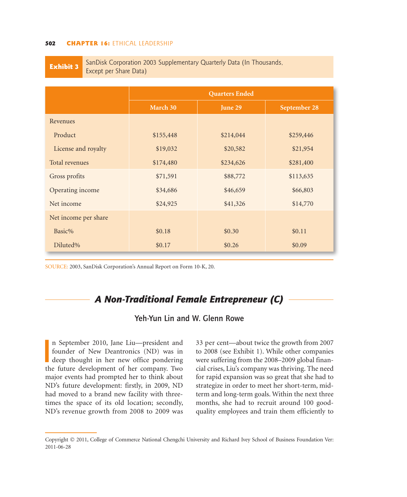Exhibit 3 SanDisk Corporation 2003 Supplementary Quarterly Data (In Thousands, Except per Share Data)

|                      | <b>Quarters Ended</b> |           |              |
|----------------------|-----------------------|-----------|--------------|
|                      | March 30              | June 29   | September 28 |
| Revenues             |                       |           |              |
| Product              | \$155,448             | \$214,044 | \$259,446    |
| License and royalty  | \$19,032              | \$20,582  | \$21,954     |
| Total revenues       | \$174,480             | \$234,626 | \$281,400    |
| Gross profits        | \$71,591              | \$88,772  | \$113,635    |
| Operating income     | \$34,686              | \$46,659  | \$66,803     |
| Net income           | \$24,925              | \$41,326  | \$14,770     |
| Net income per share |                       |           |              |
| Basic%               | \$0.18                | \$0.30    | \$0.11       |
| Diluted%             | \$0.17                | \$0.26    | \$0.09       |

SOURCE: 2003, SanDisk Corporation's Annual Report on Form 10-K, 20.

# *A Non-Traditional Female Entrepreneur (C)*

# Yeh-Yun Lin and W. Glenn Rowe

n September 2010, Jane Liu—president and<br>founder of New Deantronics (ND) was in<br>deep thought in her new office pondering<br>the future development of her company. Two n September 2010, Jane Liu—president and founder of New Deantronics (ND) was in deep thought in her new office pondering major events had prompted her to think about ND's future development: firstly, in 2009, ND had moved to a brand new facility with threetimes the space of its old location; secondly, ND's revenue growth from 2008 to 2009 was

33 per cent—about twice the growth from 2007 to 2008 (see Exhibit 1). While other companies were suffering from the 2008–2009 global financial crises, Liu's company was thriving. The need for rapid expansion was so great that she had to strategize in order to meet her short-term, midterm and long-term goals. Within the next three months, she had to recruit around 100 goodquality employees and train them efficiently to

Copyright  $@$  2011, College of Commerce National Chengchi University and Richard Ivey School of Business Foundation Ver: 2011-06-28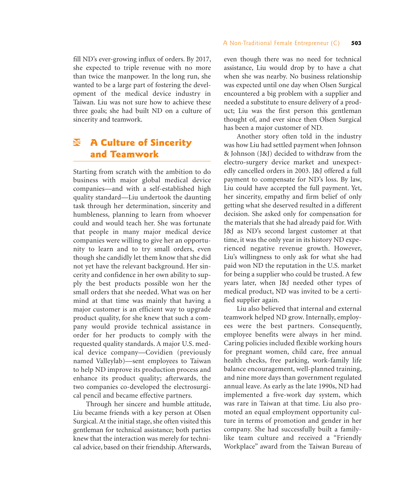fill ND's ever-growing influx of orders. By 2017, she expected to triple revenue with no more than twice the manpower. In the long run, she wanted to be a large part of fostering the development of the medical device industry in Taiwan. Liu was not sure how to achieve these three goals; she had built ND on a culture of sincerity and teamwork.

# **EV A Culture of Sincerity** and Teamwork

Starting from scratch with the ambition to do business with major global medical device companies—and with a self-established high quality standard—Liu undertook the daunting task through her determination, sincerity and humbleness, planning to learn from whoever could and would teach her. She was fortunate that people in many major medical device companies were willing to give her an opportunity to learn and to try small orders, even though she candidly let them know that she did not yet have the relevant background. Her sincerity and confidence in her own ability to supply the best products possible won her the small orders that she needed. What was on her mind at that time was mainly that having a major customer is an efficient way to upgrade product quality, for she knew that such a company would provide technical assistance in order for her products to comply with the requested quality standards. A major U.S. medical device company—Covidien (previously named Valleylab)—sent employees to Taiwan to help ND improve its production process and enhance its product quality; afterwards, the two companies co-developed the electrosurgical pencil and became effective partners.

Through her sincere and humble attitude, Liu became friends with a key person at Olsen Surgical. At the initial stage, she often visited this gentleman for technical assistance; both parties knew that the interaction was merely for technical advice, based on their friendship. Afterwards, even though there was no need for technical assistance, Liu would drop by to have a chat when she was nearby. No business relationship was expected until one day when Olsen Surgical encountered a big problem with a supplier and needed a substitute to ensure delivery of a product; Liu was the first person this gentleman thought of, and ever since then Olsen Surgical has been a major customer of ND.

Another story often told in the industry was how Liu had settled payment when Johnson & Johnson (J&J) decided to withdraw from the electro-surgery device market and unexpectedly cancelled orders in 2003. J&J offered a full payment to compensate for ND's loss. By law, Liu could have accepted the full payment. Yet, her sincerity, empathy and firm belief of only getting what she deserved resulted in a different decision. She asked only for compensation for the materials that she had already paid for. With J&J as ND's second largest customer at that time, it was the only year in its history ND experienced negative revenue growth. However, Liu's willingness to only ask for what she had paid won ND the reputation in the U.S. market for being a supplier who could be trusted. A few years later, when J&J needed other types of medical product, ND was invited to be a certified supplier again.

Liu also believed that internal and external teamwork helped ND grow. Internally, employees were the best partners. Consequently, employee benefits were always in her mind. Caring policies included flexible working hours for pregnant women, child care, free annual health checks, free parking, work-family life balance encouragement, well-planned training, and nine more days than government regulated annual leave. As early as the late 1990s, ND had implemented a five-work day system, which was rare in Taiwan at that time. Liu also promoted an equal employment opportunity culture in terms of promotion and gender in her company. She had successfully built a familylike team culture and received a "Friendly Workplace" award from the Taiwan Bureau of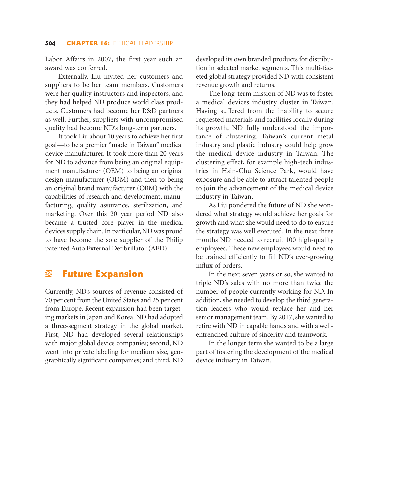Labor Affairs in 2007, the first year such an award was conferred.

Externally, Liu invited her customers and suppliers to be her team members. Customers were her quality instructors and inspectors, and they had helped ND produce world class products. Customers had become her R&D partners as well. Further, suppliers with uncompromised quality had become ND's long-term partners.

It took Liu about 10 years to achieve her first goal—to be a premier "made in Taiwan" medical device manufacturer. It took more than 20 years for ND to advance from being an original equipment manufacturer (OEM) to being an original design manufacturer (ODM) and then to being an original brand manufacturer (OBM) with the capabilities of research and development, manufacturing, quality assurance, sterilization, and marketing. Over this 20 year period ND also became a trusted core player in the medical devices supply chain. In particular, ND was proud to have become the sole supplier of the Philip patented Auto External Defibrillator (AED).

# **Future Expansion**

Currently, ND's sources of revenue consisted of 70 per cent from the United States and 25 per cent from Europe. Recent expansion had been targeting markets in Japan and Korea. ND had adopted a three-segment strategy in the global market. First, ND had developed several relationships with major global device companies; second, ND went into private labeling for medium size, geographically significant companies; and third, ND developed its own branded products for distribution in selected market segments. This multi-faceted global strategy provided ND with consistent revenue growth and returns.

The long-term mission of ND was to foster a medical devices industry cluster in Taiwan. Having suffered from the inability to secure requested materials and facilities locally during its growth, ND fully understood the importance of clustering. Taiwan's current metal industry and plastic industry could help grow the medical device industry in Taiwan. The clustering effect, for example high-tech industries in Hsin-Chu Science Park, would have exposure and be able to attract talented people to join the advancement of the medical device industry in Taiwan.

As Liu pondered the future of ND she wondered what strategy would achieve her goals for growth and what she would need to do to ensure the strategy was well executed. In the next three months ND needed to recruit 100 high-quality employees. These new employees would need to be trained efficiently to fill ND's ever-growing influx of orders.

In the next seven years or so, she wanted to triple ND's sales with no more than twice the number of people currently working for ND. In addition, she needed to develop the third generation leaders who would replace her and her senior management team. By 2017, she wanted to retire with ND in capable hands and with a wellentrenched culture of sincerity and teamwork.

In the longer term she wanted to be a large part of fostering the development of the medical device industry in Taiwan.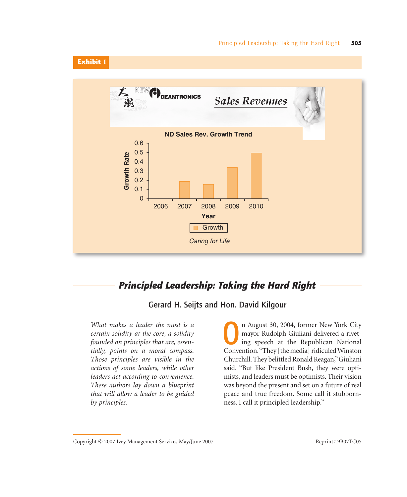

# *Principled Leadership: Taking the Hard Right*

# Gerard H. Seijts and Hon. David Kilgour

*What makes a leader the most is a certain solidity at the core, a solidity founded on principles that are, essentially, points on a moral compass. Those principles are visible in the actions of some leaders, while other leaders act according to convenience. These authors lay down a blueprint that will allow a leader to be guided by principles.*

n August 30, 2004, former New York City<br>mayor Rudolph Giuliani delivered a rivet-<br>ing speech at the Republican National<br>Commution "Thankhamedial ridical deliverence" mayor Rudolph Giuliani delivered a riveting speech at the Republican National Convention. "They [the media] ridiculed Winston Churchill. They belittled Ronald Reagan," Giuliani said. "But like President Bush, they were optimists, and leaders must be optimists. Their vision was beyond the present and set on a future of real peace and true freedom. Some call it stubbornness. I call it principled leadership."

Copyright © 2007 Ivey Management Services May/June 2007 **Reprint:** 9B07TC05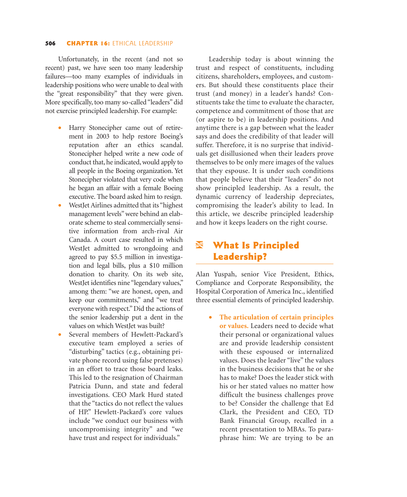Unfortunately, in the recent (and not so recent) past, we have seen too many leadership failures—too many examples of individuals in leadership positions who were unable to deal with the "great responsibility" that they were given. More specifically, too many so-called "leaders" did not exercise principled leadership. For example:

- Harry Stonecipher came out of retirement in 2003 to help restore Boeing's reputation after an ethics scandal. Stonecipher helped write a new code of conduct that, he indicated, would apply to all people in the Boeing organization. Yet Stonecipher violated that very code when he began an affair with a female Boeing executive. The board asked him to resign.
- WestJet Airlines admitted that its "highest management levels" were behind an elaborate scheme to steal commercially sensitive information from arch-rival Air Canada. A court case resulted in which WestJet admitted to wrongdoing and agreed to pay \$5.5 million in investigation and legal bills, plus a \$10 million donation to charity. On its web site, WestJet identifies nine "legendary values," among them: "we are honest, open, and keep our commitments," and "we treat everyone with respect." Did the actions of the senior leadership put a dent in the values on which WestJet was built?
- Several members of Hewlett-Packard's executive team employed a series of "disturbing" tactics (e.g., obtaining private phone record using false pretenses) in an effort to trace those board leaks. This led to the resignation of Chairman Patricia Dunn, and state and federal investigations. CEO Mark Hurd stated that the "tactics do not reflect the values of HP." Hewlett-Packard's core values include "we conduct our business with uncompromising integrity" and "we have trust and respect for individuals."

Leadership today is about winning the trust and respect of constituents, including citizens, shareholders, employees, and customers. But should these constituents place their trust (and money) in a leader's hands? Constituents take the time to evaluate the character, competence and commitment of those that are (or aspire to be) in leadership positions. And anytime there is a gap between what the leader says and does the credibility of that leader will suffer. Therefore, it is no surprise that individuals get disillusioned when their leaders prove themselves to be only mere images of the values that they espouse. It is under such conditions that people believe that their "leaders" do not show principled leadership. As a result, the dynamic currency of leadership depreciates, compromising the leader's ability to lead. In this article, we describe principled leadership and how it keeps leaders on the right course.

# **What Is Principled** Leadership?

Alan Yuspah, senior Vice President, Ethics, Compliance and Corporate Responsibility, the Hospital Corporation of America Inc., identified three essential elements of principled leadership.

• **The articulation of certain principles or values.** Leaders need to decide what their personal or organizational values are and provide leadership consistent with these espoused or internalized values. Does the leader "live" the values in the business decisions that he or she has to make? Does the leader stick with his or her stated values no matter how difficult the business challenges prove to be? Consider the challenge that Ed Clark, the President and CEO, TD Bank Financial Group, recalled in a recent presentation to MBAs. To paraphrase him: We are trying to be an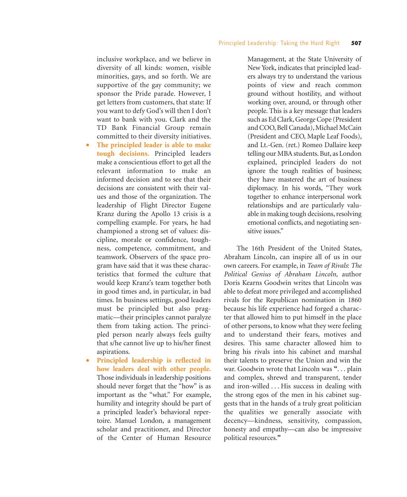#### Principled Leadership: Taking the Hard Right 507

inclusive workplace, and we believe in diversity of all kinds: women, visible minorities, gays, and so forth. We are supportive of the gay community; we sponsor the Pride parade. However, I get letters from customers, that state: If you want to defy God's will then I don't want to bank with you. Clark and the TD Bank Financial Group remain committed to their diversity initiatives.

- **The principled leader is able to make tough decisions.** Principled leaders make a conscientious effort to get all the relevant information to make an informed decision and to see that their decisions are consistent with their values and those of the organization. The leadership of Flight Director Eugene Kranz during the Apollo 13 crisis is a compelling example. For years, he had championed a strong set of values: discipline, morale or confidence, toughness, competence, commitment, and teamwork. Observers of the space program have said that it was these characteristics that formed the culture that would keep Kranz's team together both in good times and, in particular, in bad times. In business settings, good leaders must be principled but also pragmatic—their principles cannot paralyze them from taking action. The principled person nearly always feels guilty that s/he cannot live up to his/her finest aspirations.
- **Principled leadership is reflected in how leaders deal with other people.** Those individuals in leadership positions should never forget that the "how" is as important as the "what." For example, humility and integrity should be part of a principled leader's behavioral repertoire. Manuel London, a management scholar and practitioner, and Director of the Center of Human Resource

Management, at the State University of New York, indicates that principled leaders always try to understand the various points of view and reach common ground without hostility, and without working over, around, or through other people. This is a key message that leaders such as Ed Clark, George Cope (President and COO, Bell Canada), Michael McCain (President and CEO, Maple Leaf Foods), and Lt.-Gen. (ret.) Romeo Dallaire keep telling our MBA students. But, as London explained, principled leaders do not ignore the tough realities of business; they have mastered the art of business diplomacy. In his words, "They work together to enhance interpersonal work relationships and are particularly valuable in making tough decisions, resolving emotional conflicts, and negotiating sensitive issues."

The 16th President of the United States, Abraham Lincoln, can inspire all of us in our own careers. For example, in *Team of Rivals*: *The Political Genius of Abraham Lincoln,* author Doris Kearns Goodwin writes that Lincoln was able to defeat more privileged and accomplished rivals for the Republican nomination in 1860 because his life experience had forged a character that allowed him to put himself in the place of other persons, to know what they were feeling and to understand their fears, motives and desires. This same character allowed him to bring his rivals into his cabinet and marshal their talents to preserve the Union and win the war. Goodwin wrote that Lincoln was **"**. . . plain and complex, shrewd and transparent, tender and iron-willed . . . His success in dealing with the strong egos of the men in his cabinet suggests that in the hands of a truly great politician the qualities we generally associate with decency—kindness, sensitivity, compassion, honesty and empathy—can also be impressive political resources.**"**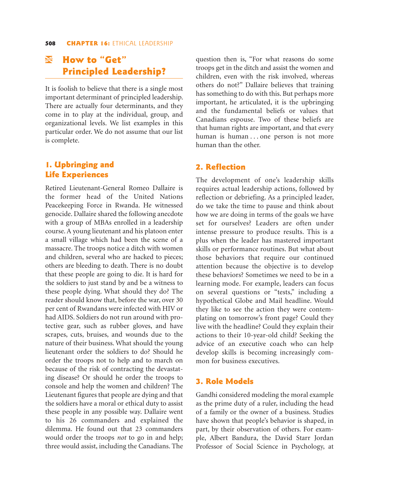# y How to **"**Get**"** Principled Leadership?

It is foolish to believe that there is a single most important determinant of principled leadership. There are actually four determinants, and they come in to play at the individual, group, and organizational levels. We list examples in this particular order. We do not assume that our list is complete.

# 1. Upbringing and Life Experiences

Retired Lieutenant-General Romeo Dallaire is the former head of the United Nations Peacekeeping Force in Rwanda. He witnessed genocide. Dallaire shared the following anecdote with a group of MBAs enrolled in a leadership course. A young lieutenant and his platoon enter a small village which had been the scene of a massacre. The troops notice a ditch with women and children, several who are hacked to pieces; others are bleeding to death. There is no doubt that these people are going to die. It is hard for the soldiers to just stand by and be a witness to these people dying. What should they do? The reader should know that, before the war, over 30 per cent of Rwandans were infected with HIV or had AIDS. Soldiers do not run around with protective gear, such as rubber gloves, and have scrapes, cuts, bruises, and wounds due to the nature of their business. What should the young lieutenant order the soldiers to do? Should he order the troops not to help and to march on because of the risk of contracting the devastating disease? Or should he order the troops to console and help the women and children? The Lieutenant figures that people are dying and that the soldiers have a moral or ethical duty to assist these people in any possible way. Dallaire went to his 26 commanders and explained the dilemma. He found out that 23 commanders would order the troops *not* to go in and help; three would assist, including the Canadians. The

question then is, "For what reasons do some troops get in the ditch and assist the women and children, even with the risk involved, whereas others do not?" Dallaire believes that training has something to do with this. But perhaps more important, he articulated, it is the upbringing and the fundamental beliefs or values that Canadians espouse. Two of these beliefs are that human rights are important, and that every human is human . . . one person is not more human than the other.

#### 2. Reflection

The development of one's leadership skills requires actual leadership actions, followed by reflection or debriefing. As a principled leader, do we take the time to pause and think about how we are doing in terms of the goals we have set for ourselves? Leaders are often under intense pressure to produce results. This is a plus when the leader has mastered important skills or performance routines. But what about those behaviors that require our continued attention because the objective is to develop these behaviors? Sometimes we need to be in a learning mode. For example, leaders can focus on several questions or "tests," including a hypothetical Globe and Mail headline. Would they like to see the action they were contemplating on tomorrow's front page? Could they live with the headline? Could they explain their actions to their 10-year-old child? Seeking the advice of an executive coach who can help develop skills is becoming increasingly common for business executives.

#### 3. Role Models

Gandhi considered modeling the moral example as the prime duty of a ruler, including the head of a family or the owner of a business. Studies have shown that people's behavior is shaped, in part, by their observation of others. For example, Albert Bandura, the David Starr Jordan Professor of Social Science in Psychology, at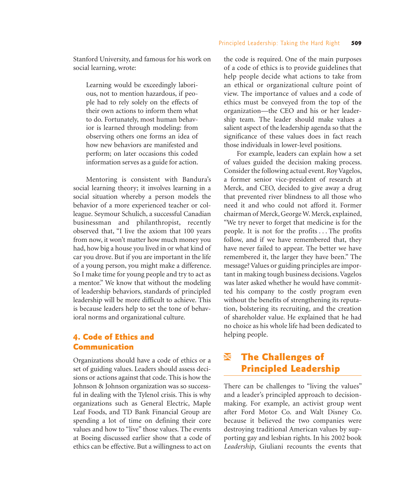Stanford University, and famous for his work on social learning, wrote:

Learning would be exceedingly laborious, not to mention hazardous, if people had to rely solely on the effects of their own actions to inform them what to do. Fortunately, most human behavior is learned through modeling: from observing others one forms an idea of how new behaviors are manifested and perform; on later occasions this coded information serves as a guide for action.

Mentoring is consistent with Bandura's social learning theory; it involves learning in a social situation whereby a person models the behavior of a more experienced teacher or colleague. Seymour Schulich, a successful Canadian businessman and philanthropist, recently observed that, "I live the axiom that 100 years from now, it won't matter how much money you had, how big a house you lived in or what kind of car you drove. But if you are important in the life of a young person, you might make a difference. So I make time for young people and try to act as a mentor." We know that without the modeling of leadership behaviors, standards of principled leadership will be more difficult to achieve. This is because leaders help to set the tone of behavioral norms and organizational culture.

### 4. Code of Ethics and Communication

Organizations should have a code of ethics or a set of guiding values. Leaders should assess decisions or actions against that code. This is how the Johnson & Johnson organization was so successful in dealing with the Tylenol crisis. This is why organizations such as General Electric, Maple Leaf Foods, and TD Bank Financial Group are spending a lot of time on defining their core values and how to "live" those values. The events at Boeing discussed earlier show that a code of ethics can be effective. But a willingness to act on

the code is required. One of the main purposes of a code of ethics is to provide guidelines that help people decide what actions to take from an ethical or organizational culture point of view. The importance of values and a code of ethics must be conveyed from the top of the organization—the CEO and his or her leadership team. The leader should make values a salient aspect of the leadership agenda so that the significance of these values does in fact reach those individuals in lower-level positions.

For example, leaders can explain how a set of values guided the decision making process. Consider the following actual event. Roy Vagelos, a former senior vice-president of research at Merck, and CEO, decided to give away a drug that prevented river blindness to all those who need it and who could not afford it. Former chairman of Merck, George W. Merck, explained, "We try never to forget that medicine is for the people. It is not for the profits . . . The profits follow, and if we have remembered that, they have never failed to appear. The better we have remembered it, the larger they have been." The message? Values or guiding principles are important in making tough business decisions. Vagelos was later asked whether he would have committed his company to the costly program even without the benefits of strengthening its reputation, bolstering its recruiting, and the creation of shareholder value. He explained that he had no choice as his whole life had been dedicated to helping people.

# **EV The Challenges of** Principled Leadership

There can be challenges to "living the values" and a leader's principled approach to decisionmaking. For example, an activist group went after Ford Motor Co. and Walt Disney Co. because it believed the two companies were destroying traditional American values by supporting gay and lesbian rights. In his 2002 book *Leadership*, Giuliani recounts the events that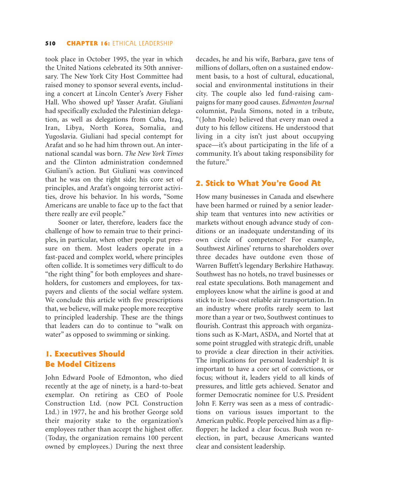took place in October 1995, the year in which the United Nations celebrated its 50th anniversary. The New York City Host Committee had raised money to sponsor several events, including a concert at Lincoln Center's Avery Fisher Hall. Who showed up? Yasser Arafat. Giuliani had specifically excluded the Palestinian delegation, as well as delegations from Cuba, Iraq, Iran, Libya, North Korea, Somalia, and Yugoslavia. Giuliani had special contempt for Arafat and so he had him thrown out. An international scandal was born. *The New York Times* and the Clinton administration condemned Giuliani's action. But Giuliani was convinced that he was on the right side; his core set of principles, and Arafat's ongoing terrorist activities, drove his behavior. In his words, "Some Americans are unable to face up to the fact that there really are evil people."

Sooner or later, therefore, leaders face the challenge of how to remain true to their principles, in particular, when other people put pressure on them. Most leaders operate in a fast-paced and complex world, where principles often collide. It is sometimes very difficult to do "the right thing" for both employees and shareholders, for customers and employees, for taxpayers and clients of the social welfare system. We conclude this article with five prescriptions that, we believe, will make people more receptive to principled leadership. These are the things that leaders can do to continue to "walk on water" as opposed to swimming or sinking.

#### 1. Executives Should Be Model Citizens

John Edward Poole of Edmonton, who died recently at the age of ninety, is a hard-to-beat exemplar. On retiring as CEO of Poole Construction Ltd. (now PCL Construction Ltd.) in 1977, he and his brother George sold their majority stake to the organization's employees rather than accept the highest offer. (Today, the organization remains 100 percent owned by employees.) During the next three

decades, he and his wife, Barbara, gave tens of millions of dollars, often on a sustained endowment basis, to a host of cultural, educational, social and environmental institutions in their city. The couple also led fund-raising campaigns for many good causes. *Edmonton Journal* columnist, Paula Simons, noted in a tribute, "(John Poole) believed that every man owed a duty to his fellow citizens. He understood that living in a city isn't just about occupying space—it's about participating in the life of a community. It's about taking responsibility for the future."

#### 2. Stick to What You're Good At

How many businesses in Canada and elsewhere have been harmed or ruined by a senior leadership team that ventures into new activities or markets without enough advance study of conditions or an inadequate understanding of its own circle of competence? For example, Southwest Airlines' returns to shareholders over three decades have outdone even those of Warren Buffett's legendary Berkshire Hathaway. Southwest has no hotels, no travel businesses or real estate speculations. Both management and employees know what the airline is good at and stick to it: low-cost reliable air transportation. In an industry where profits rarely seem to last more than a year or two, Southwest continues to flourish. Contrast this approach with organizations such as K-Mart, ASDA, and Nortel that at some point struggled with strategic drift, unable to provide a clear direction in their activities. The implications for personal leadership? It is important to have a core set of convictions, or focus; without it, leaders yield to all kinds of pressures, and little gets achieved. Senator and former Democratic nominee for U.S. President John F. Kerry was seen as a mess of contradictions on various issues important to the American public. People perceived him as a flipflopper; he lacked a clear focus. Bush won reelection, in part, because Americans wanted clear and consistent leadership.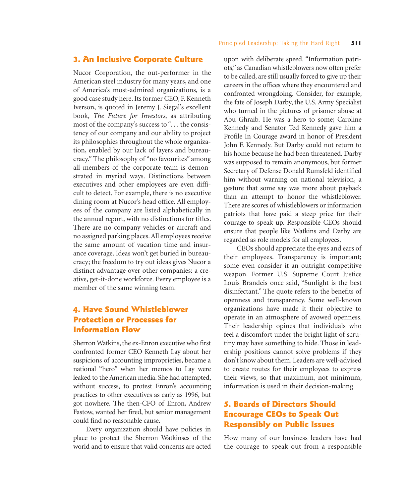#### 3. An Inclusive Corporate Culture

Nucor Corporation, the out-performer in the American steel industry for many years, and one of America's most-admired organizations, is a good case study here. Its former CEO, F. Kenneth Iverson, is quoted in Jeremy J. Siegal's excellent book, *The Future for Investors*, as attributing most of the company's success to "... the consistency of our company and our ability to project its philosophies throughout the whole organization, enabled by our lack of layers and bureaucracy." The philosophy of "no favourites" among all members of the corporate team is demonstrated in myriad ways. Distinctions between executives and other employees are even difficult to detect. For example, there is no executive dining room at Nucor's head office. All employees of the company are listed alphabetically in the annual report, with no distinctions for titles. There are no company vehicles or aircraft and no assigned parking places. All employees receive the same amount of vacation time and insurance coverage. Ideas won't get buried in bureaucracy; the freedom to try out ideas gives Nucor a distinct advantage over other companies: a creative, get-it-done workforce. Every employee is a member of the same winning team.

# 4. Have Sound Whistleblower Protection or Processes for Information Flow

Sherron Watkins, the ex-Enron executive who first confronted former CEO Kenneth Lay about her suspicions of accounting improprieties, became a national "hero" when her memos to Lay were leaked to the American media. She had attempted, without success, to protest Enron's accounting practices to other executives as early as 1996, but got nowhere. The then-CFO of Enron, Andrew Fastow, wanted her fired, but senior management could find no reasonable cause.

Every organization should have policies in place to protect the Sherron Watkinses of the world and to ensure that valid concerns are acted upon with deliberate speed. "Information patriots," as Canadian whistleblowers now often prefer to be called, are still usually forced to give up their careers in the offices where they encountered and confronted wrongdoing. Consider, for example, the fate of Joseph Darby, the U.S. Army Specialist who turned in the pictures of prisoner abuse at Abu Ghraib. He was a hero to some; Caroline Kennedy and Senator Ted Kennedy gave him a Profile In Courage award in honor of President John F. Kennedy. But Darby could not return to his home because he had been threatened. Darby was supposed to remain anonymous, but former Secretary of Defense Donald Rumsfeld identified him without warning on national television, a gesture that some say was more about payback than an attempt to honor the whistleblower. There are scores of whistleblowers or information patriots that have paid a steep price for their courage to speak up. Responsible CEOs should ensure that people like Watkins and Darby are regarded as role models for all employees.

CEOs should appreciate the eyes and ears of their employees. Transparency is important; some even consider it an outright competitive weapon. Former U.S. Supreme Court Justice Louis Brandeis once said, "Sunlight is the best disinfectant." The quote refers to the benefits of openness and transparency. Some well-known organizations have made it their objective to operate in an atmosphere of avowed openness. Their leadership opines that individuals who feel a discomfort under the bright light of scrutiny may have something to hide. Those in leadership positions cannot solve problems if they don't know about them. Leaders are well-advised to create routes for their employees to express their views, so that maximum, not minimum, information is used in their decision-making.

# 5. Boards of Directors Should Encourage CEOs to Speak Out Responsibly on Public Issues

How many of our business leaders have had the courage to speak out from a responsible